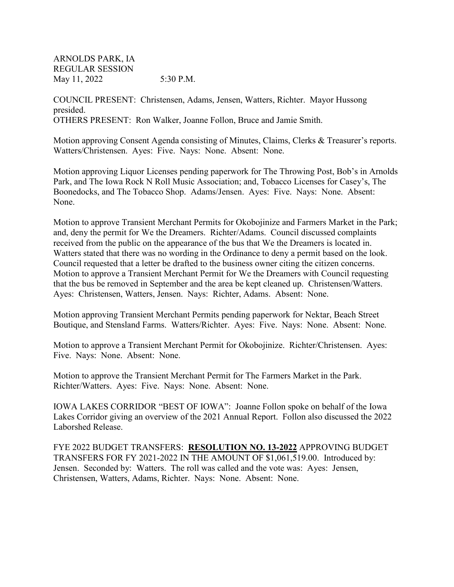ARNOLDS PARK, IA REGULAR SESSION May 11, 2022 5:30 P.M.

COUNCIL PRESENT: Christensen, Adams, Jensen, Watters, Richter. Mayor Hussong presided. OTHERS PRESENT: Ron Walker, Joanne Follon, Bruce and Jamie Smith.

Motion approving Consent Agenda consisting of Minutes, Claims, Clerks & Treasurer's reports. Watters/Christensen. Ayes: Five. Nays: None. Absent: None.

Motion approving Liquor Licenses pending paperwork for The Throwing Post, Bob's in Arnolds Park, and The Iowa Rock N Roll Music Association; and, Tobacco Licenses for Casey's, The Boonedocks, and The Tobacco Shop. Adams/Jensen. Ayes: Five. Nays: None. Absent: None.

Motion to approve Transient Merchant Permits for Okobojinize and Farmers Market in the Park; and, deny the permit for We the Dreamers. Richter/Adams. Council discussed complaints received from the public on the appearance of the bus that We the Dreamers is located in. Watters stated that there was no wording in the Ordinance to deny a permit based on the look. Council requested that a letter be drafted to the business owner citing the citizen concerns. Motion to approve a Transient Merchant Permit for We the Dreamers with Council requesting that the bus be removed in September and the area be kept cleaned up. Christensen/Watters. Ayes: Christensen, Watters, Jensen. Nays: Richter, Adams. Absent: None.

Motion approving Transient Merchant Permits pending paperwork for Nektar, Beach Street Boutique, and Stensland Farms. Watters/Richter. Ayes: Five. Nays: None. Absent: None.

Motion to approve a Transient Merchant Permit for Okobojinize. Richter/Christensen. Ayes: Five. Nays: None. Absent: None.

Motion to approve the Transient Merchant Permit for The Farmers Market in the Park. Richter/Watters. Ayes: Five. Nays: None. Absent: None.

IOWA LAKES CORRIDOR "BEST OF IOWA": Joanne Follon spoke on behalf of the Iowa Lakes Corridor giving an overview of the 2021 Annual Report. Follon also discussed the 2022 Laborshed Release.

FYE 2022 BUDGET TRANSFERS: **RESOLUTION NO. 13-2022** APPROVING BUDGET TRANSFERS FOR FY 2021-2022 IN THE AMOUNT OF \$1,061,519.00. Introduced by: Jensen. Seconded by: Watters. The roll was called and the vote was: Ayes: Jensen, Christensen, Watters, Adams, Richter. Nays: None. Absent: None.